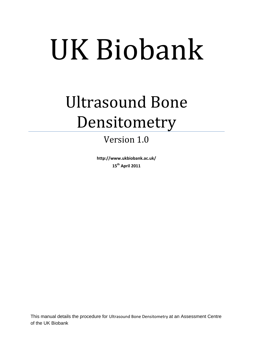# UK Biobank

## Ultrasound Bone Densitometry

### Version 1.0

**http://www.ukbiobank.ac.uk/ 15th April 2011**

This manual details the procedure for Ultrasound Bone Densitometry at an Assessment Centre of the UK Biobank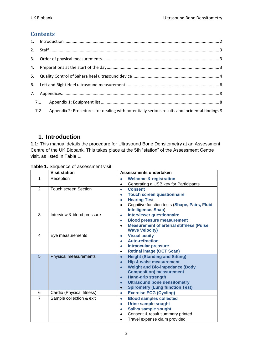#### **Contents**

| 7.1 |                                                                                               |  |
|-----|-----------------------------------------------------------------------------------------------|--|
| 7.2 | Appendix 2: Procedures for dealing with potentially serious results and incidental findings 8 |  |

#### <span id="page-1-0"></span>**1. Introduction**

**1.1:** This manual details the procedure for Ultrasound Bone Densitometry at an Assessment Centre of the UK Biobank. This takes place at the 5th "station" of the Assessment Centre visit, as listed in Table 1.

| Table 1: Sequence of assessment visit |  |  |  |  |  |  |
|---------------------------------------|--|--|--|--|--|--|
|---------------------------------------|--|--|--|--|--|--|

|                | <b>Visit station</b>        | Assessments undertaken                                                            |  |
|----------------|-----------------------------|-----------------------------------------------------------------------------------|--|
| 1              | Reception                   | <b>Welcome &amp; registration</b><br>$\bullet$                                    |  |
|                |                             | Generating a USB key for Participants<br>٠                                        |  |
| 2              | <b>Touch screen Section</b> | <b>Consent</b><br>$\bullet$                                                       |  |
|                |                             | <b>Touch screen questionnaire</b><br>٠                                            |  |
|                |                             | <b>Hearing Test</b><br>۰                                                          |  |
|                |                             | Cognitive function tests (Shape, Pairs, Fluid<br>$\bullet$<br>Intelligence, Snap) |  |
| 3              | Interview & blood pressure  | <b>Interviewer questionnaire</b><br>$\bullet$                                     |  |
|                |                             | <b>Blood pressure measurement</b><br>۰                                            |  |
|                |                             | <b>Measurement of arterial stiffness (Pulse</b><br>$\bullet$                      |  |
|                |                             | <b>Wave Velocity)</b>                                                             |  |
| 4              | Eye measurements            | <b>Visual acuity</b><br>$\bullet$                                                 |  |
|                |                             | <b>Auto-refraction</b><br>$\bullet$                                               |  |
|                |                             | <b>Intraocular pressure</b><br>$\bullet$                                          |  |
|                |                             | <b>Retinal image (OCT Scan)</b><br>$\bullet$                                      |  |
| 5              | Physical measurements       | <b>Height (Standing and Sitting)</b><br>$\bullet$                                 |  |
|                |                             | <b>Hip &amp; waist measurement</b><br>$\bullet$                                   |  |
|                |                             | <b>Weight and Bio-impedance (Body</b><br>$\bullet$                                |  |
|                |                             | <b>Composition) measurement</b>                                                   |  |
|                |                             | <b>Hand-grip strength</b><br>$\bullet$                                            |  |
|                |                             | <b>Ultrasound bone densitometry</b><br>$\bullet$                                  |  |
| 6              |                             | <b>Spirometry (Lung function Test)</b><br>$\bullet$                               |  |
|                | Cardio (Physical fitness)   | <b>Exercise ECG (Cycling)</b><br>$\bullet$                                        |  |
| $\overline{7}$ | Sample collection & exit    | <b>Blood samples collected</b><br>$\bullet$                                       |  |
|                |                             | <b>Urine sample sought</b><br>$\bullet$                                           |  |
|                |                             | Saliva sample sought<br>$\bullet$                                                 |  |
|                |                             | Consent & result summary printed                                                  |  |
|                |                             | Travel expense claim provided                                                     |  |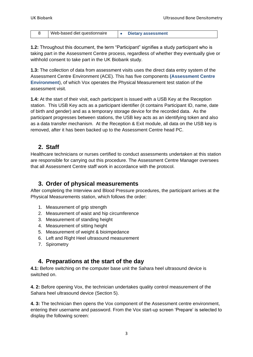|  | Web-based diet questionnaire |  | Dietary assessment |
|--|------------------------------|--|--------------------|
|--|------------------------------|--|--------------------|

**1.2:** Throughout this document, the term "Participant" signifies a study participant who is taking part in the Assessment Centre process, regardless of whether they eventually give or withhold consent to take part in the UK Biobank study.

**1.3:** The collection of data from assessment visits uses the direct data entry system of the Assessment Centre Environment (ACE). This has five components **(Assessment Centre Environment**), of which Vox operates the Physical Measurement test station of the assessment visit.

**1.4:** At the start of their visit, each participant is issued with a USB Key at the Reception station. This USB Key acts as a participant identifier (it contains Participant ID, name, date of birth and gender) and as a temporary storage device for the recorded data. As the participant progresses between stations, the USB key acts as an identifying token and also as a data transfer mechanism. At the Reception & Exit module, all data on the USB key is removed, after it has been backed up to the Assessment Centre head PC.

#### <span id="page-2-0"></span>**2. Staff**

Healthcare technicians or nurses certified to conduct assessments undertaken at this station are responsible for carrying out this procedure. The Assessment Centre Manager oversees that all Assessment Centre staff work in accordance with the protocol.

#### <span id="page-2-1"></span>**3. Order of physical measurements**

After completing the Interview and Blood Pressure procedures, the participant arrives at the Physical Measurements station, which follows the order:

- 1. Measurement of grip strength
- 2. Measurement of waist and hip circumference
- 3. Measurement of standing height
- 4. Measurement of sitting height
- 5. Measurement of weight & bioimpedance
- 6. Left and Right Heel ultrasound measurement
- 7. Spirometry

#### <span id="page-2-2"></span>**4. Preparations at the start of the day**

**4.1:** Before switching on the computer base unit the Sahara heel ultrasound device is switched on.

**4. 2:** Before opening Vox, the technician undertakes quality control measurement of the Sahara heel ultrasound device (Section [5\)](#page-3-0).

**4. 3:** The technician then opens the Vox component of the Assessment centre environment, entering their username and password. From the Vox start-up screen "Prepare" is selected to display the following screen: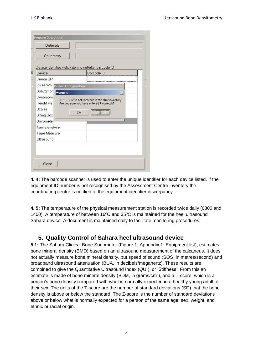| Spirometry                     |     |                                                                      |                      |
|--------------------------------|-----|----------------------------------------------------------------------|----------------------|
| Device                         |     | Device Identities - click item to set/alter barcode ID<br>Barcode ID |                      |
| Omron BP                       |     |                                                                      |                      |
| Pulse Wav Device Configuration |     |                                                                      |                      |
| Sphygmor warning               |     |                                                                      | $\vert \times \vert$ |
| Dynamom                        |     | ID "121212" is not recorded in the clinic inventory.                 |                      |
| Height Mer                     |     | Are you sure you have entered it correctly?                          |                      |
| Scales                         |     |                                                                      |                      |
| Sitting Box                    | Yes | Ņо                                                                   |                      |
| Spirometer                     |     |                                                                      |                      |
| Tanita analyser                |     |                                                                      |                      |
| Tape Measure                   |     |                                                                      |                      |
| Ultrasound                     |     |                                                                      |                      |
|                                |     |                                                                      |                      |

**4. 4:** The barcode scanner is used to enter the unique identifier for each device listed. If the equipment ID number is not recognised by the Assessment Centre inventory the coordinating centre is notified of the equipment identifier discrepancy.

**4. 5:** The temperature of the physical measurement station is recorded twice daily (0800 and 1400). A temperature of between 16ºC and 35ºC is maintained for the heel ultrasound Sahara device. A document is maintained daily to facilitate monitoring procedures.

#### <span id="page-3-0"></span>**5. Quality Control of Sahara heel ultrasound device**

**5.1:** The Sahara Clinical Bone Sonometer (Figure 1; [Appendix 1: Equipment list\)](#page-7-1), estimates bone mineral density (BMD) based on an ultrasound measurement of the calcaneus. It does not actually measure bone mineral density, but speed of sound (SOS, in metres/second) and broadband ultrasound attenuation (BUA, in decibels/megahertz). These results are combined to give the Quantitative Ultrasound Index (QUI), or "Stiffness". From this an estimate is made of bone mineral density (BDM, in grams/ $cm<sup>2</sup>$ ), and a T-score, which is a person"s bone density compared with what is normally expected in a healthy young adult of their sex. The units of the T-score are the number of standard deviations (SD) that the bone density is above or below the standard. The Z-score is the number of standard deviations above or below what is normally expected for a person of the same age, sex, weight, and ethnic or racial origin.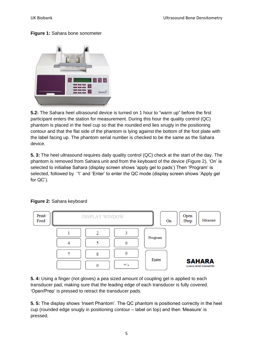#### **Figure 1:** Sahara bone sonometer



**5.2:** The Sahara heel ultrasound device is turned on 1 hour to "warm up" before the first participant enters the station for measurement. During this hour the quality control (QC) phantom is placed in the heel cup so that the rounded end lies snugly in the positioning contour and that the flat side of the phantom is lying against the bottom of the foot plate with the label facing up. The phantom serial number is checked to be the same as the Sahara device.

**5. 3:** The heel ultrasound requires daily quality control (QC) check at the start of the day. The phantom is removed from Sahara unit and from the keyboard of the device (Figure 2), "On" is selected to initialise Sahara (display screen shows 'apply gel to pads') Then 'Program' is selected, followed by '1' and 'Enter' to enter the QC mode (display screen shows 'Apply gel for QC").



#### **Figure 2:** Sahara keyboard

**5. 4:** Using a finger (not gloves) a pea sized amount of coupling gel is applied to each transducer pad, making sure that the leading edge of each transducer is fully covered. "Open/Prep" is pressed to retract the transducer pads.

**5. 5:** The display shows "Insert Phantom". The QC phantom is positioned correctly in the heel cup (rounded edge snugly in positioning contour – label on top) and then "Measure" is pressed.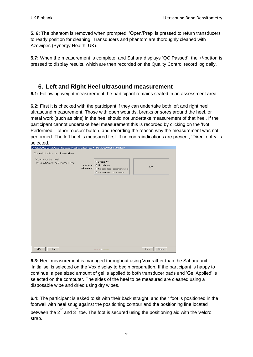**5. 6:** The phantom is removed when prompted; "Open/Prep" is pressed to return transducers to ready position for cleaning. Transducers and phantom are thoroughly cleaned with Azowipes (Synergy Health, UK).

**5.7:** When the measurement is complete, and Sahara displays "QC Passed", the +/-button is pressed to display results, which are then recorded on the Quality Control record log daily.

#### <span id="page-5-0"></span>**6. Left and Right Heel ultrasound measurement**

**6.1:** Following weight measurement the participant remains seated in an assessment area.

**6.2:** First it is checked with the participant if they can undertake both left and right heel ultrasound measurement. Those with open wounds, breaks or sores around the heel, or metal work (such as pins) in the heel should not undertake measurement of that heel. If the participant cannot undertake heel measurement this is recorded by clicking on the "Not Performed – other reason" button, and recording the reason why the measurement was not performed. The left heel is measured first. If no contraindications are present, "Direct entry" is selected.

| UK Biobank, Miss Caron Paterson : Biometrics, Bone Density (Left Foot) * TRAINING/DEMONSTRATION VISIT * |                         |                                                                                                           |      |        |
|---------------------------------------------------------------------------------------------------------|-------------------------|-----------------------------------------------------------------------------------------------------------|------|--------|
| Contra-indications for Ultrasound are                                                                   |                         |                                                                                                           |      |        |
| * Open wound on heel<br>* Metal screws, wires or plates in heel                                         | Left heel<br>ultrasound | C Direct entry<br>C Manual entry<br>C Not performed - equipment failure<br>C Not performed - other reason |      | Left   |
|                                                                                                         |                         |                                                                                                           |      |        |
|                                                                                                         |                         |                                                                                                           |      |        |
|                                                                                                         |                         |                                                                                                           |      |        |
|                                                                                                         |                         |                                                                                                           |      |        |
| Help<br><prev< td=""><td></td><td>-0---</td><td>Lock</td><td>Next &gt;</td></prev<>                     |                         | -0---                                                                                                     | Lock | Next > |

**6.3:** Heel measurement is managed throughout using Vox rather than the Sahara unit. "Initialise" is selected on the Vox display to begin preparation. If the participant is happy to continue, a pea sized amount of gel is applied to both transducer pads and "Gel Applied" is selected on the computer. The sides of the heel to be measured are cleaned using a disposable wipe and dried using dry wipes.

**6.4:** The participant is asked to sit with their back straight, and their foot is positioned in the footwell with heel snug against the positioning contour and the positioning line located between the  $2^{nd}$  and  $3^{rd}$  toe. The foot is secured using the positioning aid with the Velcro strap.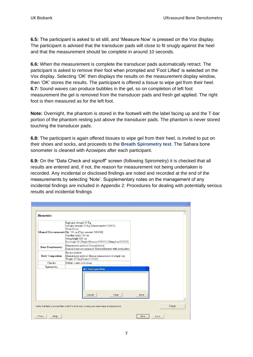**6.5:** The participant is asked to sit still, and "Measure Now" is pressed on the Vox display. The participant is advised that the transducer pads will close to fit snugly against the heel and that the measurement should be complete in around 10 seconds.

**6.6:** When the measurement is complete the transducer pads automatically retract. The participant is asked to remove their foot when prompted and "Foot Lifted" is selected on the Vox display. Selecting "OK" then displays the results on the measurement display window, then "OK" stores the results. The participant is offered a tissue to wipe gel from their heel. **6.7:** Sound waves can produce bubbles in the gel, so on completion of left foot measurement the gel is removed from the transducer pads and fresh gel applied. The right foot is then measured as for the left foot.

**Note:** Overnight, the phantom is stored in the footwell with the label facing up and the T-bar portion of the phantom resting just above the transducer pads. The phantom is never stored touching the transducer pads.

**6.8:** The participant is again offered tissues to wipe gel from their heel, is invited to put on their shoes and socks, and proceeds to the **Breath Spirometry test.** The Sahara bone sonometer is cleaned with Azowipes after each participant.

**6.9:** On the "Data Check and signoff" screen (following Spirometry) it is checked that all results are entered and, if not, the reason for measurement not being undertaken is recorded. Any incidental or disclosed findings are noted and recorded at the end of the measurements by selecting "Note". Supplementary notes on the management of any incidental findings are included in Appendix 2: [Procedures for dealing with potentially serious](#page-7-2)  [results and incidental findings](#page-7-2)

| <b>Biometrics</b>                                                                                                                                                                                                                                                   |                                                                                                         |      |        |  |  |
|---------------------------------------------------------------------------------------------------------------------------------------------------------------------------------------------------------------------------------------------------------------------|---------------------------------------------------------------------------------------------------------|------|--------|--|--|
| Right grip strength 33 Kg<br>Left grip strength 33 Kg [Dynamometer: 123456]<br>Waist 80 cm<br>Manual Measurements Hip 120 cm [Tape measure:545454]<br>Standing height 180 cm<br>Sitting height 120 cm<br>Box height 50 [Height Measure:234567] [Sitting box:232323] |                                                                                                         |      |        |  |  |
| <b>Bone Densitometry</b>                                                                                                                                                                                                                                            | Measurement method: Not performed<br>Reason bones not measured: Bilateral fracture with metal plates    |      |        |  |  |
| <b>Body Composition</b>                                                                                                                                                                                                                                             | Has pacemaker<br>Measurement method: Manual measurement of weight only<br>Weight: 67 Kg [Scales:121212] |      |        |  |  |
| Checks                                                                                                                                                                                                                                                              | Definite contra-indications                                                                             |      |        |  |  |
| Spirometry                                                                                                                                                                                                                                                          | <b>ACE Participant Note</b>                                                                             |      |        |  |  |
|                                                                                                                                                                                                                                                                     | Cancel<br>Clear                                                                                         | Save |        |  |  |
|                                                                                                                                                                                                                                                                     | Verify that data is correct then click Finish to sign it using your username and password.              |      | Finish |  |  |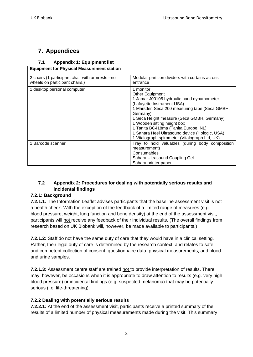#### <span id="page-7-0"></span>**7. Appendices**

#### <span id="page-7-1"></span>**7.1 Appendix 1: Equipment list**

| <b>Equipment for Physical Measurement station</b> |  |
|---------------------------------------------------|--|
|---------------------------------------------------|--|

| 2 chairs (1 participant chair with armrests –no | Modular partition dividers with curtains across |
|-------------------------------------------------|-------------------------------------------------|
| wheels on participant chairs.)                  | entrance                                        |
| 1 desktop personal computer                     | 1 monitor                                       |
|                                                 | <b>Other Equipment</b>                          |
|                                                 | 1 Jamar J00105 hydraulic hand dynamometer       |
|                                                 | (Lafayette Instrument USA)                      |
|                                                 | 1 Marsden Seca 200 measuring tape (Seca GMBH,   |
|                                                 | Germany)                                        |
|                                                 | 1 Seca Height measure (Seca GMBH, Germany)      |
|                                                 | 1 Wooden sitting height box                     |
|                                                 | 1 Tanita BC418ma (Tanita Europe, NL)            |
|                                                 | 1 Sahara Heel Ultrasound device (Hologic, USA)  |
|                                                 | 1 Vitalograph spirometer (Vitalograph Ltd, UK)  |
| 1 Barcode scanner                               | Tray to hold valuables (during body composition |
|                                                 | measurement)                                    |
|                                                 | Consumables                                     |
|                                                 | Sahara Ultrasound Coupling Gel                  |
|                                                 | Sahara printer paper                            |

#### <span id="page-7-2"></span>**7.2 Appendix 2: Procedures for dealing with potentially serious results and incidental findings**

#### **7.2.1: Background**

**7.2.1.1:** The Information Leaflet advises participants that the baseline assessment visit is not a health check. With the exception of the feedback of a limited range of measures (e.g. blood pressure, weight, lung function and bone density) at the end of the assessment visit, participants will not receive any feedback of their individual results. (The overall findings from research based on UK Biobank will, however, be made available to participants.)

**7.2.1.2:** Staff do not have the same duty of care that they would have in a clinical setting. Rather, their legal duty of care is determined by the research context, and relates to safe and competent collection of consent, questionnaire data, physical measurements, and blood and urine samples.

**7.2.1.3:** Assessment centre staff are trained not to provide interpretation of results. There may, however, be occasions when it is appropriate to draw attention to results (e.g. very high blood pressure) or incidental findings (e.g. suspected melanoma) that may be potentially serious (i.e. life-threatening).

#### **7.2.2 Dealing with potentially serious results**

**7.2.2.1:** At the end of the assessment visit, participants receive a printed summary of the results of a limited number of physical measurements made during the visit. This summary